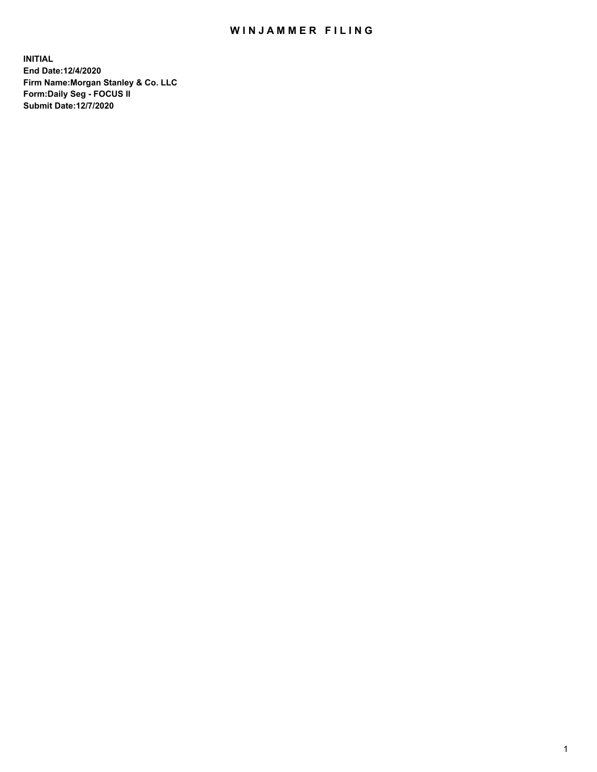## WIN JAMMER FILING

**INITIAL End Date:12/4/2020 Firm Name:Morgan Stanley & Co. LLC Form:Daily Seg - FOCUS II Submit Date:12/7/2020**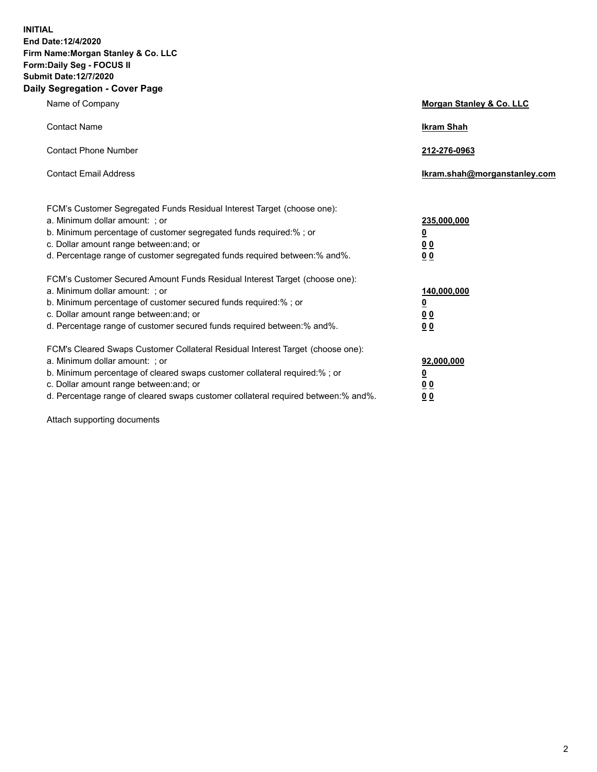**INITIAL End Date:12/4/2020 Firm Name:Morgan Stanley & Co. LLC Form:Daily Seg - FOCUS II Submit Date:12/7/2020 Daily Segregation - Cover Page**

| Name of Company                                                                                                                                                                                                                                                                                                                | Morgan Stanley & Co. LLC                                |
|--------------------------------------------------------------------------------------------------------------------------------------------------------------------------------------------------------------------------------------------------------------------------------------------------------------------------------|---------------------------------------------------------|
| <b>Contact Name</b>                                                                                                                                                                                                                                                                                                            | <b>Ikram Shah</b>                                       |
| <b>Contact Phone Number</b>                                                                                                                                                                                                                                                                                                    | 212-276-0963                                            |
| <b>Contact Email Address</b>                                                                                                                                                                                                                                                                                                   | Ikram.shah@morganstanley.com                            |
| FCM's Customer Segregated Funds Residual Interest Target (choose one):<br>a. Minimum dollar amount: ; or<br>b. Minimum percentage of customer segregated funds required:% ; or<br>c. Dollar amount range between: and; or<br>d. Percentage range of customer segregated funds required between:% and%.                         | 235,000,000<br><u>0</u><br><u>00</u><br><u>00</u>       |
| FCM's Customer Secured Amount Funds Residual Interest Target (choose one):<br>a. Minimum dollar amount: ; or<br>b. Minimum percentage of customer secured funds required:%; or<br>c. Dollar amount range between: and; or<br>d. Percentage range of customer secured funds required between:% and%.                            | 140,000,000<br><u>0</u><br><u>0 0</u><br>0 <sub>0</sub> |
| FCM's Cleared Swaps Customer Collateral Residual Interest Target (choose one):<br>a. Minimum dollar amount: ; or<br>b. Minimum percentage of cleared swaps customer collateral required:% ; or<br>c. Dollar amount range between: and; or<br>d. Percentage range of cleared swaps customer collateral required between:% and%. | 92,000,000<br><u>0</u><br><u>00</u><br>00               |

Attach supporting documents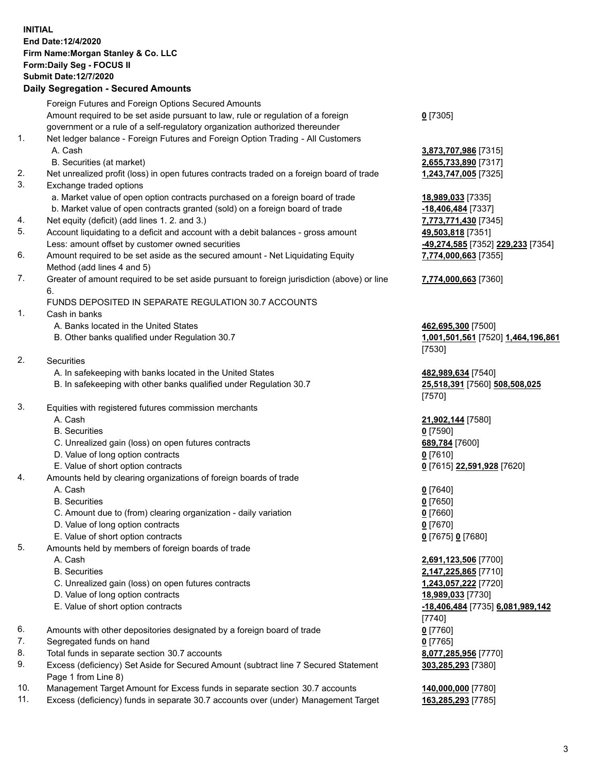## **INITIAL End Date:12/4/2020 Firm Name:Morgan Stanley & Co. LLC Form:Daily Seg - FOCUS II Submit Date:12/7/2020**

## **Daily Segregation - Secured Amounts**

Foreign Futures and Foreign Options Secured Amounts Amount required to be set aside pursuant to law, rule or regulation of a foreign government or a rule of a self-regulatory organization authorized thereunder 1. Net ledger balance - Foreign Futures and Foreign Option Trading - All Customers A. Cash **3,873,707,986** [7315] B. Securities (at market) **2,655,733,890** [7317] 2. Net unrealized profit (loss) in open futures contracts traded on a foreign board of trade **1,243,747,005** [7325] 3. Exchange traded options a. Market value of open option contracts purchased on a foreign board of trade **18,989,033** [7335] b. Market value of open contracts granted (sold) on a foreign board of trade **-18,406,484** [7337] 4. Net equity (deficit) (add lines 1. 2. and 3.) **7,773,771,430** [7345] 5. Account liquidating to a deficit and account with a debit balances - gross amount **49,503,818** [7351] Less: amount offset by customer owned securities **-49,274,585** [7352] **229,233** [7354] 6. Amount required to be set aside as the secured amount - Net Liquidating Equity Method (add lines 4 and 5) 7. Greater of amount required to be set aside pursuant to foreign jurisdiction (above) or line 6. FUNDS DEPOSITED IN SEPARATE REGULATION 30.7 ACCOUNTS 1. Cash in banks A. Banks located in the United States **462,695,300** [7500] B. Other banks qualified under Regulation 30.7 **1,001,501,561** [7520] **1,464,196,861** 2. Securities A. In safekeeping with banks located in the United States **482,989,634** [7540] B. In safekeeping with other banks qualified under Regulation 30.7 **25,518,391** [7560] **508,508,025** 3. Equities with registered futures commission merchants A. Cash **21,902,144** [7580] B. Securities **0** [7590] C. Unrealized gain (loss) on open futures contracts **689,784** [7600] D. Value of long option contracts **0** [7610] E. Value of short option contracts **0** [7615] **22,591,928** [7620] 4. Amounts held by clearing organizations of foreign boards of trade A. Cash **0** [7640] B. Securities **0** [7650] C. Amount due to (from) clearing organization - daily variation **0** [7660] D. Value of long option contracts **0** [7670] E. Value of short option contracts **0** [7675] **0** [7680] 5. Amounts held by members of foreign boards of trade A. Cash **2,691,123,506** [7700] B. Securities **2,147,225,865** [7710] C. Unrealized gain (loss) on open futures contracts **1,243,057,222** [7720] D. Value of long option contracts **18,989,033** [7730] E. Value of short option contracts **-18,406,484** [7735] **6,081,989,142** 6. Amounts with other depositories designated by a foreign board of trade **0** [7760] 7. Segregated funds on hand **0** [7765] 8. Total funds in separate section 30.7 accounts **8,077,285,956** [7770]

- 9. Excess (deficiency) Set Aside for Secured Amount (subtract line 7 Secured Statement Page 1 from Line 8)
- 10. Management Target Amount for Excess funds in separate section 30.7 accounts **140,000,000** [7780]
- 11. Excess (deficiency) funds in separate 30.7 accounts over (under) Management Target **163,285,293** [7785]

**0** [7305]

**7,774,000,663** [7355]

## **7,774,000,663** [7360]

[7530]

[7570]

[7740] **303,285,293** [7380]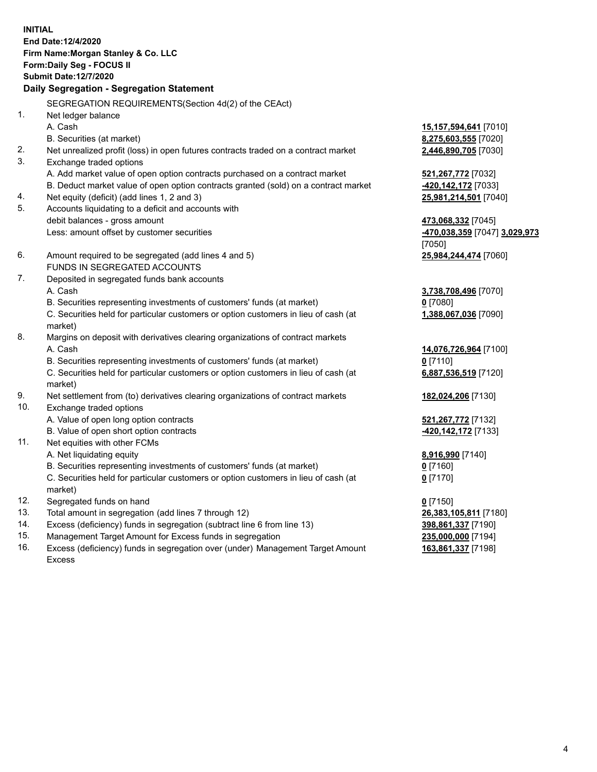**INITIAL End Date:12/4/2020 Firm Name:Morgan Stanley & Co. LLC Form:Daily Seg - FOCUS II Submit Date:12/7/2020 Daily Segregation - Segregation Statement** SEGREGATION REQUIREMENTS(Section 4d(2) of the CEAct) 1. Net ledger balance A. Cash **15,157,594,641** [7010] B. Securities (at market) **8,275,603,555** [7020] 2. Net unrealized profit (loss) in open futures contracts traded on a contract market **2,446,890,705** [7030] 3. Exchange traded options A. Add market value of open option contracts purchased on a contract market **521,267,772** [7032] B. Deduct market value of open option contracts granted (sold) on a contract market **-420,142,172** [7033] 4. Net equity (deficit) (add lines 1, 2 and 3) **25,981,214,501** [7040] 5. Accounts liquidating to a deficit and accounts with debit balances - gross amount **473,068,332** [7045] Less: amount offset by customer securities **-470,038,359** [7047] **3,029,973** [7050] 6. Amount required to be segregated (add lines 4 and 5) **25,984,244,474** [7060] FUNDS IN SEGREGATED ACCOUNTS 7. Deposited in segregated funds bank accounts A. Cash **3,738,708,496** [7070] B. Securities representing investments of customers' funds (at market) **0** [7080] C. Securities held for particular customers or option customers in lieu of cash (at market) **1,388,067,036** [7090] 8. Margins on deposit with derivatives clearing organizations of contract markets A. Cash **14,076,726,964** [7100] B. Securities representing investments of customers' funds (at market) **0** [7110] C. Securities held for particular customers or option customers in lieu of cash (at market) **6,887,536,519** [7120] 9. Net settlement from (to) derivatives clearing organizations of contract markets **182,024,206** [7130] 10. Exchange traded options A. Value of open long option contracts **521,267,772** [7132] B. Value of open short option contracts **-420,142,172** [7133] 11. Net equities with other FCMs A. Net liquidating equity **8,916,990** [7140] B. Securities representing investments of customers' funds (at market) **0** [7160] C. Securities held for particular customers or option customers in lieu of cash (at market) **0** [7170] 12. Segregated funds on hand **0** [7150] 13. Total amount in segregation (add lines 7 through 12) **26,383,105,811** [7180] 14. Excess (deficiency) funds in segregation (subtract line 6 from line 13) **398,861,337** [7190] 15. Management Target Amount for Excess funds in segregation **235,000,000** [7194]

16. Excess (deficiency) funds in segregation over (under) Management Target Amount Excess

**163,861,337** [7198]